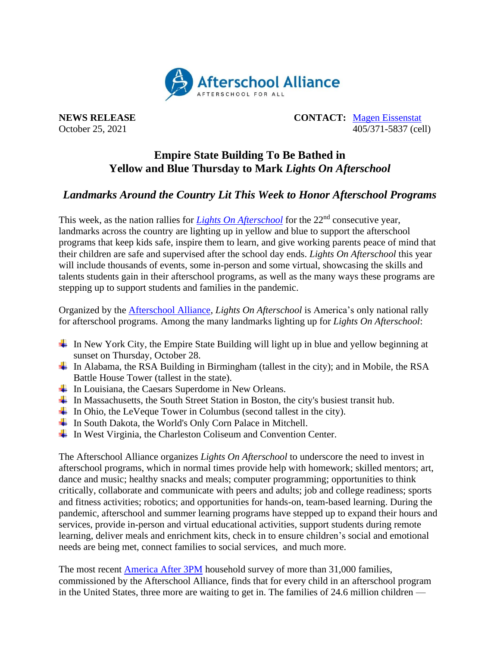

**NEWS RELEASE CONTACT:** [Magen Eissenstat](mailto:magen@prsolutionsdc.com) October 25, 2021 405/371-5837 (cell)

## **Empire State Building To Be Bathed in Yellow and Blue Thursday to Mark** *Lights On Afterschool*

## *Landmarks Around the Country Lit This Week to Honor Afterschool Programs*

This week, as the nation rallies for *[Lights On Afterschool](http://www.afterschoolalliance.org/loa.cfm)* for the 22<sup>nd</sup> consecutive year, landmarks across the country are lighting up in yellow and blue to support the afterschool programs that keep kids safe, inspire them to learn, and give working parents peace of mind that their children are safe and supervised after the school day ends. *Lights On Afterschool* this year will include thousands of events, some in-person and some virtual, showcasing the skills and talents students gain in their afterschool programs, as well as the many ways these programs are stepping up to support students and families in the pandemic.

Organized by the [Afterschool Alliance,](http://www.afterschoolalliance.org/) *Lights On Afterschool* is America's only national rally for afterschool programs. Among the many landmarks lighting up for *Lights On Afterschool*:

- In New York City, the Empire State Building will light up in blue and yellow beginning at sunset on Thursday, October 28.
- In Alabama, the RSA Building in Birmingham (tallest in the city); and in Mobile, the RSA Battle House Tower (tallest in the state).
- $\overline{\phantom{a}}$  In Louisiana, the Caesars Superdome in New Orleans.
- $\ddot{\text{I}}$  In Massachusetts, the South Street Station in Boston, the city's busiest transit hub.
- $\ddot{\text{I}}$  In Ohio, the LeVeque Tower in Columbus (second tallest in the city).
- $\overline{\phantom{a}}$  In South Dakota, the World's Only Corn Palace in Mitchell.
- ↓ In West Virginia, the Charleston Coliseum and Convention Center.

The Afterschool Alliance organizes *Lights On Afterschool* to underscore the need to invest in afterschool programs, which in normal times provide help with homework; skilled mentors; art, dance and music; healthy snacks and meals; computer programming; opportunities to think critically, collaborate and communicate with peers and adults; job and college readiness; sports and fitness activities; robotics; and opportunities for hands-on, team-based learning. During the pandemic, afterschool and summer learning programs have stepped up to expand their hours and services, provide in-person and virtual educational activities, support students during remote learning, deliver meals and enrichment kits, check in to ensure children's social and emotional needs are being met, connect families to social services, and much more.

The most recent [America After 3PM](http://www.afterschoolalliance.org/AA3PM/) household survey of more than 31,000 families, commissioned by the Afterschool Alliance, finds that for every child in an afterschool program in the United States, three more are waiting to get in. The families of 24.6 million children —